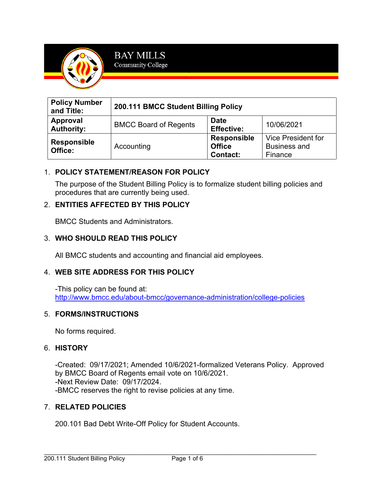

| <b>Policy Number</b><br>and Title: | 200.111 BMCC Student Billing Policy |                                                        |                                                             |
|------------------------------------|-------------------------------------|--------------------------------------------------------|-------------------------------------------------------------|
| Approval<br><b>Authority:</b>      | <b>BMCC Board of Regents</b>        | <b>Date</b><br><b>Effective:</b>                       | 10/06/2021                                                  |
| <b>Responsible</b><br>Office:      | Accounting                          | <b>Responsible</b><br><b>Office</b><br><b>Contact:</b> | <b>Vice President for</b><br><b>Business and</b><br>Finance |

# 1. **POLICY STATEMENT/REASON FOR POLICY**

The purpose of the Student Billing Policy is to formalize student billing policies and procedures that are currently being used.

### 2. **ENTITIES AFFECTED BY THIS POLICY**

BMCC Students and Administrators.

### 3. **WHO SHOULD READ THIS POLICY**

All BMCC students and accounting and financial aid employees.

#### 4. **WEB SITE ADDRESS FOR THIS POLICY**

-This policy can be found at: <http://www.bmcc.edu/about-bmcc/governance-administration/college-policies>

#### 5. **FORMS/INSTRUCTIONS**

No forms required.

#### 6. **HISTORY**

-Created: 09/17/2021; Amended 10/6/2021-formalized Veterans Policy. Approved by BMCC Board of Regents email vote on 10/6/2021. -Next Review Date: 09/17/2024. -BMCC reserves the right to revise policies at any time.

#### 7. **RELATED POLICIES**

200.101 Bad Debt Write-Off Policy for Student Accounts.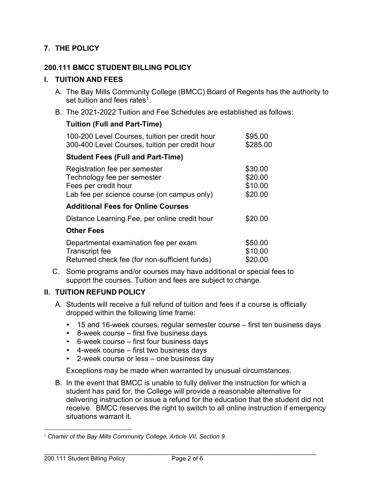# **7. THE POLICY**

#### **200.111 BMCC STUDENT BILLING POLICY**

#### **I. TUITION AND FEES**

- A. The Bay Mills Community College (BMCC) Board of Regents has the authority to set tuition and fees rates $^{\rm 1}.$
- B. The 2021-2022 Tuition and Fee Schedules are established as follows:

### **Tuition (Full and Part-Time)**

| 100-200 Level Courses, tuition per credit hour<br>300-400 Level Courses, tuition per credit hour                                    | \$95.00<br>\$285.00                      |
|-------------------------------------------------------------------------------------------------------------------------------------|------------------------------------------|
| <b>Student Fees (Full and Part-Time)</b>                                                                                            |                                          |
| Registration fee per semester<br>Technology fee per semester<br>Fees per credit hour<br>Lab fee per science course (on campus only) | \$30.00<br>\$20.00<br>\$10.00<br>\$20.00 |
| <b>Additional Fees for Online Courses</b>                                                                                           |                                          |
| Distance Learning Fee, per online credit hour                                                                                       | \$20.00                                  |
| <b>Other Fees</b>                                                                                                                   |                                          |
| Departmental examination fee per exam<br><b>Transcript fee</b><br>Returned check fee (for non-sufficient funds)                     | \$50.00<br>\$10.00<br>\$20.00            |

C. Some programs and/or courses may have additional or special fees to support the courses. Tuition and fees are subject to change.

#### **II. TUITION REFUND POLICY**

- A. Students will receive a full refund of tuition and fees if a course is officially dropped within the following time frame:
	- 15 and 16-week courses, regular semester course first ten business days
	- 8-week course first five business days
	- 6-week course first four business days
	- 4-week course first two business days
	- 2-week course or less one business day

Exceptions may be made when warranted by unusual circumstances.

B. In the event that BMCC is unable to fully deliver the instruction for which a student has paid for, the College will provide a reasonable alternative for delivering instruction or issue a refund for the education that the student did not receive. BMCC reserves the right to switch to all online instruction if emergency situations warrant it.

<sup>&</sup>lt;sup>1</sup> Charter of the Bay Mills Community College, Article VII, Section 9.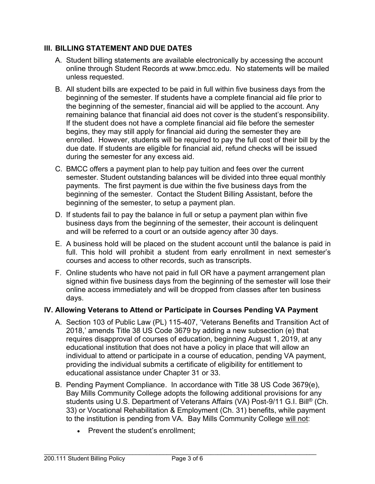# **III. BILLING STATEMENT AND DUE DATES**

- A. Student billing statements are available electronically by accessing the account online through Student Records [at www.bmcc.ed](http://www.bmcc.edu/)u. No statements will be mailed unless requested.
- B. All student bills are expected to be paid in full within five business days from the beginning of the semester. If students have a complete financial aid file prior to the beginning of the semester, financial aid will be applied to the account. Any remaining balance that financial aid does not cover is the student's responsibility. If the student does not have a complete financial aid file before the semester begins, they may still apply for financial aid during the semester they are enrolled. However, students will be required to pay the full cost of their bill by the due date. If students are eligible for financial aid, refund checks will be issued during the semester for any excess aid.
- C. BMCC offers a payment plan to help pay tuition and fees over the current semester. Student outstanding balances will be divided into three equal monthly payments. The first payment is due within the five business days from the beginning of the semester. Contact the Student Billing Assistant, before the beginning of the semester, to setup a payment plan.
- D. If students fail to pay the balance in full or setup a payment plan within five business days from the beginning of the semester, their account is delinquent and will be referred to a court or an outside agency after 30 days.
- E. A business hold will be placed on the student account until the balance is paid in full. This hold will prohibit a student from early enrollment in next semester's courses and access to other records, such as transcripts.
- F. Online students who have not paid in full OR have a payment arrangement plan signed within five business days from the beginning of the semester will lose their online access immediately and will be dropped from classes after ten business days.

# **IV. Allowing Veterans to Attend or Participate in Courses Pending VA Payment**

- A. Section 103 of Public Law (PL) 115-407, 'Veterans Benefits and Transition Act of 2018,' amends Title 38 US Code 3679 by adding a new subsection (e) that requires disapproval of courses of education, beginning August 1, 2019, at any educational institution that does not have a policy in place that will allow an individual to attend or participate in a course of education, pending VA payment, providing the individual submits a certificate of eligibility for entitlement to educational assistance under Chapter 31 or 33.
- B. Pending Payment Compliance. In accordance with Title 38 US Code 3679(e), Bay Mills Community College adopts the following additional provisions for any students using U.S. Department of Veterans Affairs (VA) Post-9/11 G.I. Bill® (Ch. 33) or Vocational Rehabilitation & Employment (Ch. 31) benefits, while payment to the institution is pending from VA. Bay Mills Community College will not:
	- Prevent the student's enrollment: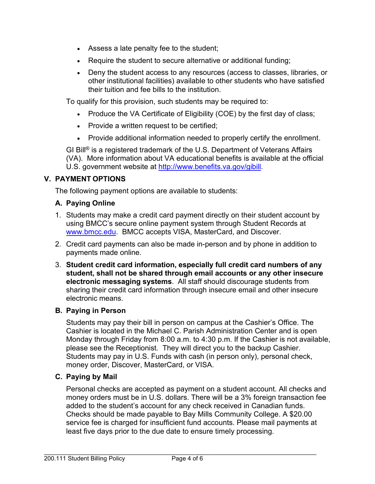- Assess a late penalty fee to the student;
- Require the student to secure alternative or additional funding;
- Deny the student access to any resources (access to classes, libraries, or other institutional facilities) available to other students who have satisfied their tuition and fee bills to the institution.

To qualify for this provision, such students may be required to:

- Produce the VA Certificate of Eligibility (COE) by the first day of class;
- Provide a written request to be certified;
- Provide additional information needed to properly certify the enrollment.

GI Bill® is a registered trademark of the U.S. Department of Veterans Affairs (VA). More information about VA educational benefits is available at the official U.S. government website at [http://www.benefits.va.gov/gibill.](http://www.benefits.va.gov/gibill)

# **V. PAYMENT OPTIONS**

The following payment options are available to students:

# **A. Paying Online**

- 1. Students may make a credit card payment directly on their student account by using BMCC's secure online payment system through Student Records at [www.bmcc.edu.](http://www.bmcc.edu/) BMCC accepts VISA, MasterCard, and Discover.
- 2. Credit card payments can also be made in-person and by phone in addition to payments made online.
- 3. **Student credit card information, especially full credit card numbers of any student, shall not be shared through email accounts or any other insecure electronic messaging systems**. All staff should discourage students from sharing their credit card information through insecure email and other insecure electronic means.

# **B. Paying in Person**

Students may pay their bill in person on campus at the Cashier's Office. The Cashier is located in the Michael C. Parish Administration Center and is open Monday through Friday from 8:00 a.m. to 4:30 p.m. If the Cashier is not available, please see the Receptionist. They will direct you to the backup Cashier. Students may pay in U.S. Funds with cash (in person only), personal check, money order, Discover, MasterCard, or VISA.

# **C. Paying by Mail**

Personal checks are accepted as payment on a student account. All checks and money orders must be in U.S. dollars. There will be a 3% foreign transaction fee added to the student's account for any check received in Canadian funds. Checks should be made payable to Bay Mills Community College. A \$20.00 service fee is charged for insufficient fund accounts. Please mail payments at least five days prior to the due date to ensure timely processing.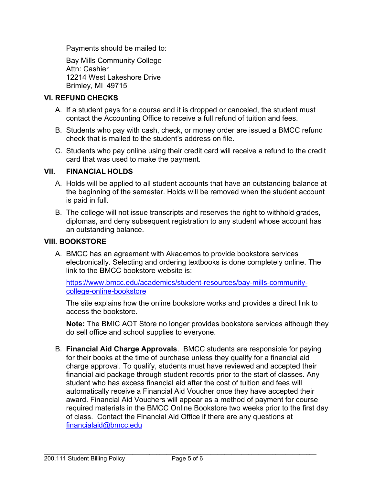Payments should be mailed to:

Bay Mills Community College Attn: Cashier 12214 West Lakeshore Drive Brimley, MI 49715

# **VI. REFUND CHECKS**

- A. If a student pays for a course and it is dropped or canceled, the student must contact the Accounting Office to receive a full refund of tuition and fees.
- B. Students who pay with cash, check, or money order are issued a BMCC refund check that is mailed to the student's address on file.
- C. Students who pay online using their credit card will receive a refund to the credit card that was used to make the payment.

### **VII. FINANCIAL HOLDS**

- A. Holds will be applied to all student accounts that have an outstanding balance at the beginning of the semester. Holds will be removed when the student account is paid in full.
- B. The college will not issue transcripts and reserves the right to withhold grades, diplomas, and deny subsequent registration to any student whose account has an outstanding balance.

#### **VIII. BOOKSTORE**

A. BMCC has an agreement with Akademos to provide bookstore services electronically. Selecting and ordering textbooks is done completely online. The link to the BMCC bookstore website is:

[https://www.bmcc.edu/academics/student-resources/bay-mills-community](https://www.bmcc.edu/academics/student-resources/bay-mills-community-college-online-bookstore)[college-online-bookstore](https://www.bmcc.edu/academics/student-resources/bay-mills-community-college-online-bookstore)

The site explains how the online bookstore works and provides a direct link to access the bookstore.

**Note:** The BMIC AOT Store no longer provides bookstore services although they do sell office and school supplies to everyone.

B. **Financial Aid Charge Approvals**. BMCC students are responsible for paying for their books at the time of purchase unless they qualify for a financial aid charge approval. To qualify, students must have reviewed and accepted their financial aid package through student records prior to the start of classes. Any student who has excess financial aid after the cost of tuition and fees will automatically receive a Financial Aid Voucher once they have accepted their award. Financial Aid Vouchers will appear as a method of payment for course required materials in the BMCC Online Bookstore two weeks prior to the first day of class. Contact the Financial Aid Office if there are any questions at [financialaid@bmcc.edu](mailto:financialaid@bmcc.edu)